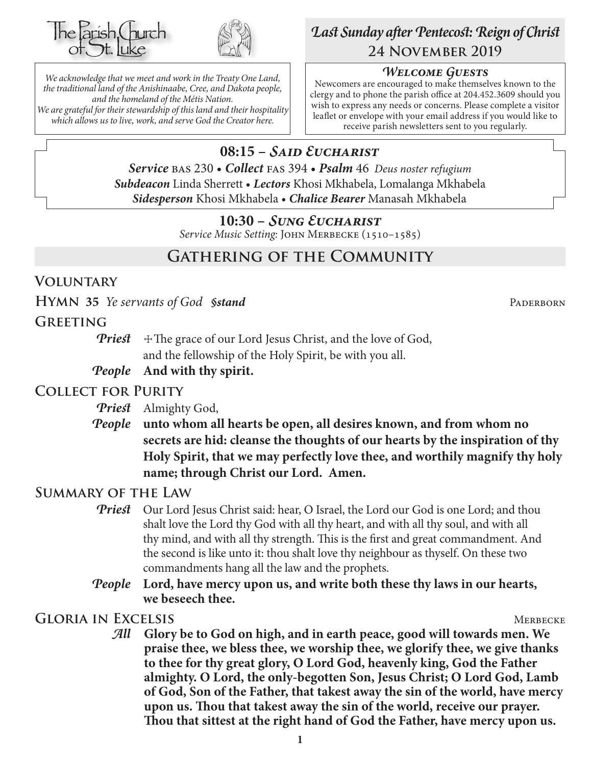



*We acknowledge that we meet and work in the Treaty One Land, the traditional land of the Anishinaabe, Cree, and Dakota people, and the homeland of the Métis Nation. We are grateful for their stewardship of this land and their hospitality which allows us to live, work, and serve God the Creator here.*

# *Last Sunday after Pentecost: Reign of Christ* **24 November 2019**

### *Welcome Guests*

Newcomers are encouraged to make themselves known to the clergy and to phone the parish office at 204.452.3609 should you wish to express any needs or concerns. Please complete a visitor leaflet or envelope with your email address if you would like to receive parish newsletters sent to you regularly.

# **08:15 –** *Said Eucharist*

*Service* bas 230 • *Collect* fas 394 • *Psalm* 46 *Deus noster refugium Subdeacon* Linda Sherrett • *Lectors* Khosi Mkhabela, Lomalanga Mkhabela *Sidesperson* Khosi Mkhabela • *Chalice Bearer* Manasah Mkhabela

### **10:30 –** *Sung Eucharist*

*Service Music Setting:* John Merbecke (1510–1585)

# **Gathering of the Community**

### **Voluntary**

**HYMN** 35 *Ye servants of God §stand* PADERBORN

### **Greeting**

*Priest*  $\pm$  The grace of our Lord Jesus Christ, and the love of God, and the fellowship of the Holy Spirit, be with you all.

#### *People* **And with thy spirit.**

# **Collect for Purity**

*Priest* Almighty God,

*People* **unto whom all hearts be open, all desires known, and from whom no secrets are hid: cleanse the thoughts of our hearts by the inspiration of thy Holy Spirit, that we may perfectly love thee, and worthily magnify thy holy name; through Christ our Lord. Amen.**

# **Summary of the Law**

- **Priest** Our Lord Jesus Christ said: hear, O Israel, the Lord our God is one Lord; and thou shalt love the Lord thy God with all thy heart, and with all thy soul, and with all thy mind, and with all thy strength. This is the first and great commandment. And the second is like unto it: thou shalt love thy neighbour as thyself. On these two commandments hang all the law and the prophets.
- *People* **Lord, have mercy upon us, and write both these thy laws in our hearts, we beseech thee.**

**GLORIA IN EXCELSIS** MERBECKE

*All* **Glory be to God on high, and in earth peace, good will towards men. We praise thee, we bless thee, we worship thee, we glorify thee, we give thanks to thee for thy great glory, O Lord God, heavenly king, God the Father almighty. O Lord, the only-begotten Son, Jesus Christ; O Lord God, Lamb of God, Son of the Father, that takest away the sin of the world, have mercy upon us. Thou that takest away the sin of the world, receive our prayer. Thou that sittest at the right hand of God the Father, have mercy upon us.**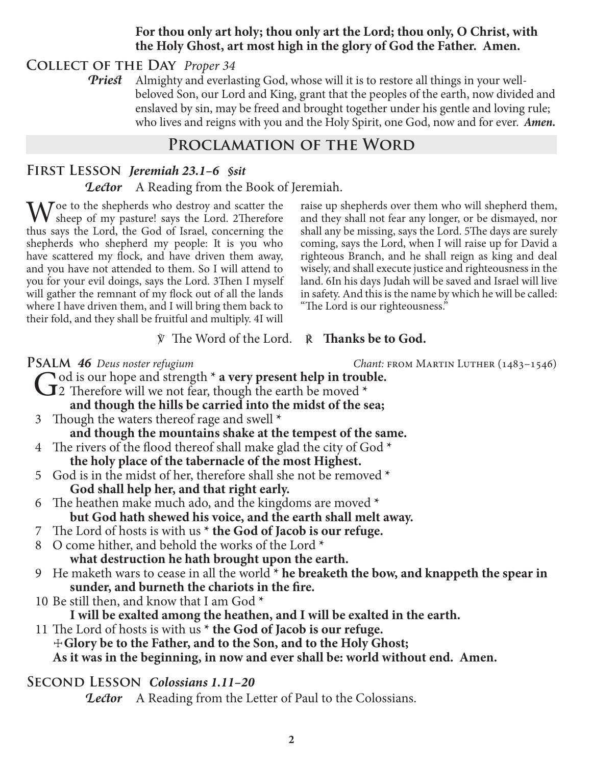### **For thou only art holy; thou only art the Lord; thou only, O Christ, with the Holy Ghost, art most high in the glory of God the Father. Amen.**

**Collect of the Day** *Proper 34*

*Priest* Almighty and everlasting God, whose will it is to restore all things in your wellbeloved Son, our Lord and King, grant that the peoples of the earth, now divided and enslaved by sin, may be freed and brought together under his gentle and loving rule; who lives and reigns with you and the Holy Spirit, one God, now and for ever.*Amen.*

# **Proclamation of the Word**

# **First Lesson** *Jeremiah 23.1–6 §sit*

*Lector* A Reading from the Book of Jeremiah.

 $\mathbf{W}$  sheep of my pasture! says the Lord. 2Therefore the same that I and the God of Israel, association that thus says the Lord, the God of Israel, concerning the shepherds who shepherd my people: It is you who have scattered my flock, and have driven them away, and you have not attended to them. So I will attend to you for your evil doings, says the Lord. 3Then I myself will gather the remnant of my flock out of all the lands where I have driven them, and I will bring them back to their fold, and they shall be fruitful and multiply. 4I will

raise up shepherds over them who will shepherd them, and they shall not fear any longer, or be dismayed, nor shall any be missing, says the Lord. 5The days are surely coming, says the Lord, when I will raise up for David a righteous Branch, and he shall reign as king and deal wisely, and shall execute justice and righteousness in the land. 6In his days Judah will be saved and Israel will live in safety. And this is the name by which he will be called: "The Lord is our righteousness."

#### ℣ The Word of the Lord. ℟ **Thanks be to God.**

**PSALM 46** Deus noster refugium *Chant: FROM MARTIN LUTHER* (1483–1546)

- $\bigcirc$  od is our hope and strength  $*$  a very present help in trouble. 2 Therefore will we not fear, though the earth be moved **\* and though the hills be carried into the midst of the sea;** 3 Though the waters thereof rage and swell **\* and though the mountains shake at the tempest of the same.** 4 The rivers of the flood thereof shall make glad the city of God **\* the holy place of the tabernacle of the most Highest.** 5 God is in the midst of her, therefore shall she not be removed **\* God shall help her, and that right early.** 6 The heathen make much ado, and the kingdoms are moved **\* but God hath shewed his voice, and the earth shall melt away.** 7 The Lord of hosts is with us **\* the God of Jacob is our refuge.** 8 O come hither, and behold the works of the Lord **\* what destruction he hath brought upon the earth.** 9 He maketh wars to cease in all the world<sup>\*</sup> he breaketh the bow, and knappeth the spear in **sunder, and burneth the chariots in the fire.** 10 Be still then, and know that I am God **\* I will be exalted among the heathen, and I will be exalted in the earth.** 11 The Lord of hosts is with us **\* the God of Jacob is our refuge.** ☩**Glory be to the Father, and to the Son, and to the Holy Ghost; As it was in the beginning, in now and ever shall be: world without end. Amen. Second Lesson** *Colossians 1.11–20*
	- *Lector* A Reading from the Letter of Paul to the Colossians.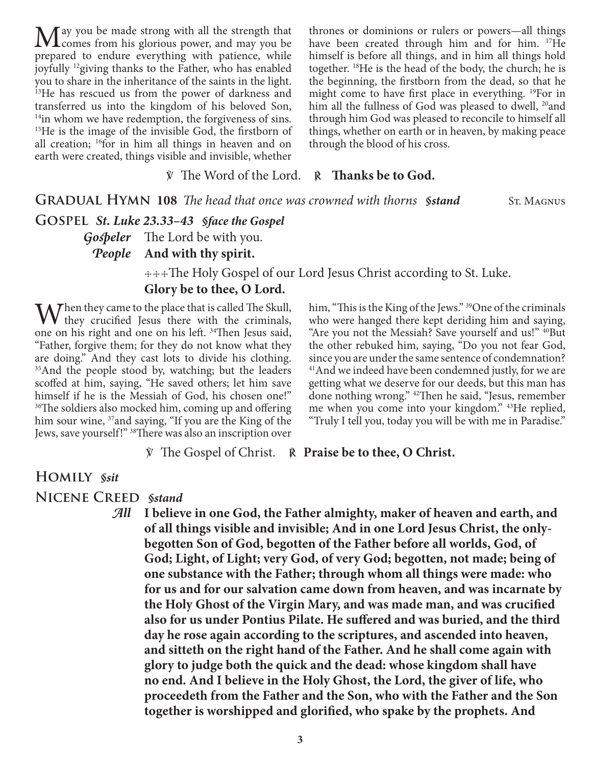$M$ ay you be made strong with all the strength that  $C^{sym}$  from his glorious power, and may you be prepared to endure everything with patience, while joyfully 12giving thanks to the Father, who has enabled you to share in the inheritance of the saints in the light. <sup>13</sup>He has rescued us from the power of darkness and transferred us into the kingdom of his beloved Son,  $14$ in whom we have redemption, the forgiveness of sins. <sup>15</sup>He is the image of the invisible God, the firstborn of all creation; 16for in him all things in heaven and on earth were created, things visible and invisible, whether

thrones or dominions or rulers or powers—all things have been created through him and for him. <sup>17</sup>He himself is before all things, and in him all things hold together. 18He is the head of the body, the church; he is the beginning, the firstborn from the dead, so that he might come to have first place in everything. 19For in him all the fullness of God was pleased to dwell, <sup>20</sup>and through him God was pleased to reconcile to himself all things, whether on earth or in heaven, by making peace through the blood of his cross.

℣ The Word of the Lord. ℟ **Thanks be to God.**

**GRADUAL HYMN 108** *The head that once was crowned with thorns §stand* St. Magnus

**Gospel** *St. Luke 23.33–43 §face the Gospel*

*Gospeler* The Lord be with you.

*People* **And with thy spirit.**

 ☩☩☩The Holy Gospel of our Lord Jesus Christ according to St. Luke. **Glory be to thee, O Lord.**

When they came to the place that is called The Skull, they crucified Jesus there with the criminals, and an a papel is helph  $34$ Then Jesus said one on his right and one on his left. 34Then Jesus said, "Father, forgive them; for they do not know what they are doing." And they cast lots to divide his clothing. <sup>35</sup>And the people stood by, watching; but the leaders scoffed at him, saying, "He saved others; let him save himself if he is the Messiah of God, his chosen one!" <sup>36</sup>The soldiers also mocked him, coming up and offering him sour wine, <sup>37</sup> and saying, "If you are the King of the Jews, save yourself!" 38There was also an inscription over

him, "This is the King of the Jews." <sup>39</sup>One of the criminals who were hanged there kept deriding him and saying, "Are you not the Messiah? Save yourself and us!" <sup>40</sup>But the other rebuked him, saying, "Do you not fear God, since you are under the same sentence of condemnation? 41And we indeed have been condemned justly, for we are getting what we deserve for our deeds, but this man has done nothing wrong." 42Then he said, "Jesus, remember me when you come into your kingdom." 43He replied, "Truly I tell you, today you will be with me in Paradise."

℣ The Gospel of Christ. ℟ **Praise be to thee, O Christ.**

# **Homily** *§sit*

**Nicene Creed** *§stand*

*All* **I believe in one God, the Father almighty, maker of heaven and earth, and of all things visible and invisible; And in one Lord Jesus Christ, the onlybegotten Son of God, begotten of the Father before all worlds, God, of God; Light, of Light; very God, of very God; begotten, not made; being of one substance with the Father; through whom all things were made: who for us and for our salvation came down from heaven, and was incarnate by the Holy Ghost of the Virgin Mary, and was made man, and was crucified also for us under Pontius Pilate. He suffered and was buried, and the third day he rose again according to the scriptures, and ascended into heaven, and sitteth on the right hand of the Father. And he shall come again with glory to judge both the quick and the dead: whose kingdom shall have no end. And I believe in the Holy Ghost, the Lord, the giver of life, who proceedeth from the Father and the Son, who with the Father and the Son together is worshipped and glorified, who spake by the prophets. And**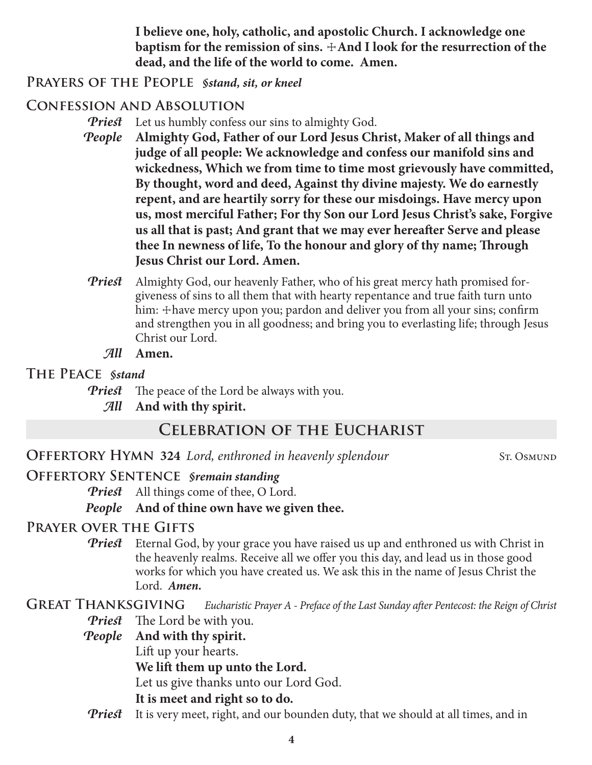**I believe one, holy, catholic, and apostolic Church. I acknowledge one**  baptism for the remission of sins.  $\pm$ And I look for the resurrection of the **dead, and the life of the world to come. Amen.**

### **Prayers of the People** *§stand, sit, or kneel*

# **Confession and Absolution**

*Priest* Let us humbly confess our sins to almighty God.

- *People* **Almighty God, Father of our Lord Jesus Christ, Maker of all things and judge of all people: We acknowledge and confess our manifold sins and wickedness, Which we from time to time most grievously have committed, By thought, word and deed, Against thy divine majesty. We do earnestly repent, and are heartily sorry for these our misdoings. Have mercy upon us, most merciful Father; For thy Son our Lord Jesus Christ's sake, Forgive us all that is past; And grant that we may ever hereafter Serve and please thee In newness of life, To the honour and glory of thy name; Through Jesus Christ our Lord. Amen.**
- *Priest* Almighty God, our heavenly Father, who of his great mercy hath promised forgiveness of sins to all them that with hearty repentance and true faith turn unto him: + have mercy upon you; pardon and deliver you from all your sins; confirm and strengthen you in all goodness; and bring you to everlasting life; through Jesus Christ our Lord.
	- *All* **Amen.**

### **The Peace** *§stand*

*Priest* The peace of the Lord be always with you.

*All* **And with thy spirit.**

# **Celebration of the Eucharist**

**OFFERTORY HYMN 324** *Lord, enthroned in heavenly splendour* ST. OSMUND

# **Offertory Sentence** *§remain standing*

*Priest* All things come of thee, O Lord.

*People* **And of thine own have we given thee.**

# **Prayer over the Gifts**

*Priest* Eternal God, by your grace you have raised us up and enthroned us with Christ in the heavenly realms. Receive all we offer you this day, and lead us in those good works for which you have created us. We ask this in the name of Jesus Christ the Lord. *Amen.*

**Great Thanksgiving** *Eucharistic Prayer A - Preface of the Last Sunday after Pentecost: the Reign of Christ*

*Priest* The Lord be with you.

*People* **And with thy spirit.**

Lift up your hearts.

**We lift them up unto the Lord.**

Let us give thanks unto our Lord God.

**It is meet and right so to do.**

*Priest* It is very meet, right, and our bounden duty, that we should at all times, and in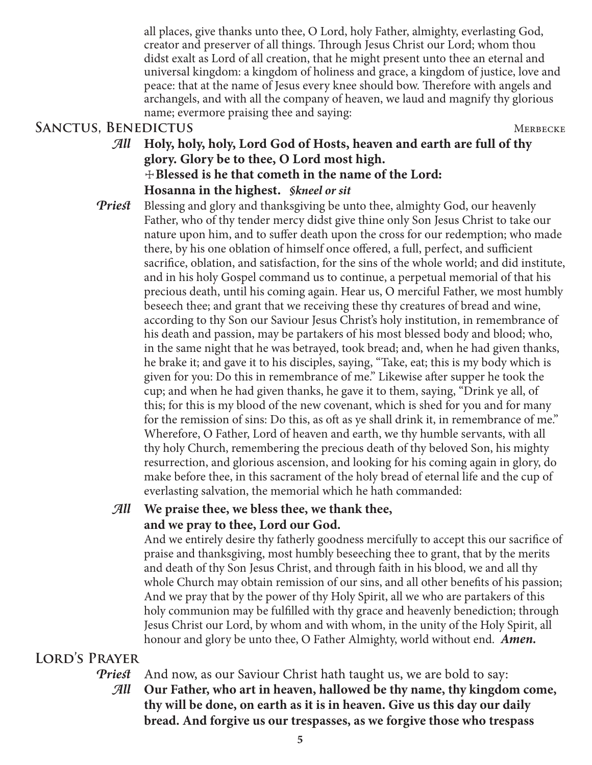all places, give thanks unto thee, O Lord, holy Father, almighty, everlasting God, creator and preserver of all things. Through Jesus Christ our Lord; whom thou didst exalt as Lord of all creation, that he might present unto thee an eternal and universal kingdom: a kingdom of holiness and grace, a kingdom of justice, love and peace: that at the name of Jesus every knee should bow. Therefore with angels and archangels, and with all the company of heaven, we laud and magnify thy glorious name; evermore praising thee and saying:

# SANCTUS, BENEDICTUS MERBECKE

- *All* **Holy, holy, holy, Lord God of Hosts, heaven and earth are full of thy glory. Glory be to thee, O Lord most high.** ☩**Blessed is he that cometh in the name of the Lord: Hosanna in the highest.** *§kneel or sit*
- *Priest* Blessing and glory and thanksgiving be unto thee, almighty God, our heavenly Father, who of thy tender mercy didst give thine only Son Jesus Christ to take our nature upon him, and to suffer death upon the cross for our redemption; who made there, by his one oblation of himself once offered, a full, perfect, and sufficient sacrifice, oblation, and satisfaction, for the sins of the whole world; and did institute, and in his holy Gospel command us to continue, a perpetual memorial of that his precious death, until his coming again. Hear us, O merciful Father, we most humbly beseech thee; and grant that we receiving these thy creatures of bread and wine, according to thy Son our Saviour Jesus Christ's holy institution, in remembrance of his death and passion, may be partakers of his most blessed body and blood; who, in the same night that he was betrayed, took bread; and, when he had given thanks, he brake it; and gave it to his disciples, saying, "Take, eat; this is my body which is given for you: Do this in remembrance of me." Likewise after supper he took the cup; and when he had given thanks, he gave it to them, saying, "Drink ye all, of this; for this is my blood of the new covenant, which is shed for you and for many for the remission of sins: Do this, as oft as ye shall drink it, in remembrance of me." Wherefore, O Father, Lord of heaven and earth, we thy humble servants, with all thy holy Church, remembering the precious death of thy beloved Son, his mighty resurrection, and glorious ascension, and looking for his coming again in glory, do make before thee, in this sacrament of the holy bread of eternal life and the cup of everlasting salvation, the memorial which he hath commanded:

# *All* **We praise thee, we bless thee, we thank thee, and we pray to thee, Lord our God.**

 And we entirely desire thy fatherly goodness mercifully to accept this our sacrifice of praise and thanksgiving, most humbly beseeching thee to grant, that by the merits and death of thy Son Jesus Christ, and through faith in his blood, we and all thy whole Church may obtain remission of our sins, and all other benefits of his passion; And we pray that by the power of thy Holy Spirit, all we who are partakers of this holy communion may be fulfilled with thy grace and heavenly benediction; through Jesus Christ our Lord, by whom and with whom, in the unity of the Holy Spirit, all honour and glory be unto thee, O Father Almighty, world without end. *Amen.*

# **Lord's Prayer**

*Priest* And now, as our Saviour Christ hath taught us, we are bold to say:

*All* **Our Father, who art in heaven, hallowed be thy name, thy kingdom come, thy will be done, on earth as it is in heaven. Give us this day our daily bread. And forgive us our trespasses, as we forgive those who trespass**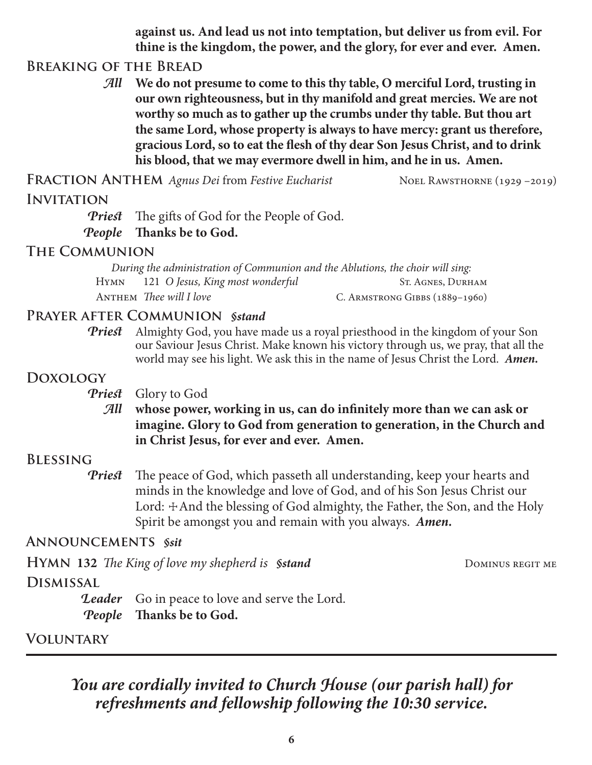**against us. And lead us not into temptation, but deliver us from evil. For thine is the kingdom, the power, and the glory, for ever and ever. Amen.**

# **Breaking of the Bread**

*All* **We do not presume to come to this thy table, O merciful Lord, trusting in our own righteousness, but in thy manifold and great mercies. We are not worthy so much as to gather up the crumbs under thy table. But thou art the same Lord, whose property is always to have mercy: grant us therefore, gracious Lord, so to eat the flesh of thy dear Son Jesus Christ, and to drink his blood, that we may evermore dwell in him, and he in us. Amen.**

FRACTION ANTHEM *Agnus Dei* from *Festive Eucharist* Noel RAWSTHORNE (1929 –2019)

# **Invitation**

*Priest* The gifts of God for the People of God.

#### *People* **Thanks be to God.**

### **The Communion**

*During the administration of Communion and the Ablutions, the choir will sing:* HYMN 121 *O Jesus, King most wonderful* ST. AGNES, DURHAM ANTHEM *Thee will I love* C. ARMSTRONG GIBBS (1889-1960)

# **Prayer after Communion** *§stand*

*Priest* Almighty God, you have made us a royal priesthood in the kingdom of your Son our Saviour Jesus Christ. Make known his victory through us, we pray, that all the world may see his light. We ask this in the name of Jesus Christ the Lord. *Amen.*

# **Doxology**

*Priest* Glory to God

*All* **whose power, working in us, can do infinitely more than we can ask or imagine. Glory to God from generation to generation, in the Church and in Christ Jesus, for ever and ever. Amen.**

# **Blessing**

*Priest* The peace of God, which passeth all understanding, keep your hearts and minds in the knowledge and love of God, and of his Son Jesus Christ our Lord:  $\pm$ And the blessing of God almighty, the Father, the Son, and the Holy Spirit be amongst you and remain with you always. *Amen.*

# **Announcements** *§sit*

| <b>HYMN 132</b> The King of love my shepherd is <b>Sitand</b> |                                                       | DOMINUS REGIT ME |
|---------------------------------------------------------------|-------------------------------------------------------|------------------|
| <b>DISMISSAL</b>                                              |                                                       |                  |
|                                                               | <b>Leader</b> Go in peace to love and serve the Lord. |                  |
|                                                               | <i>People</i> Thanks be to God.                       |                  |

**Voluntary**

*You are cordially invited to Church House (our parish hall) for refreshments and fellowship following the 10:30 service.*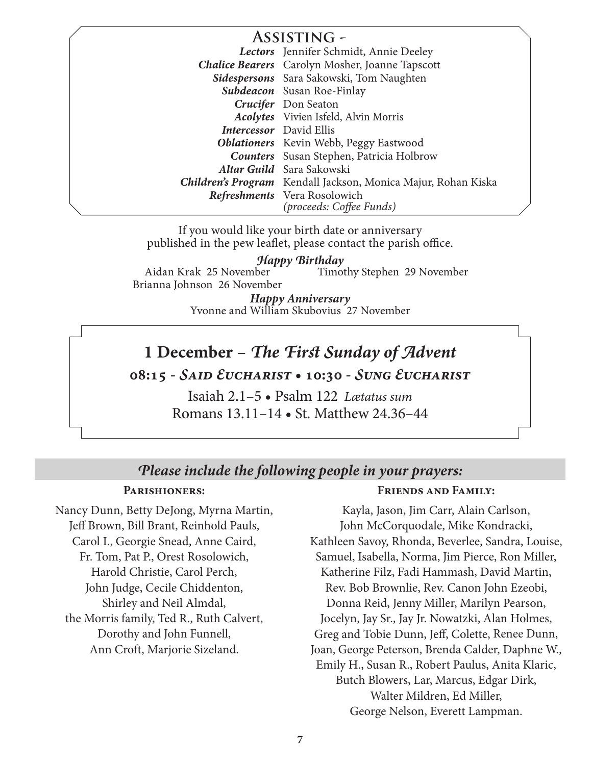### **Assisting -** *Lectors* Jennifer Schmidt, Annie Deeley *Chalice Bearers* Carolyn Mosher, Joanne Tapscott *Sidespersons* Sara Sakowski, Tom Naughten *Subdeacon* Susan Roe-Finlay *Crucifer* Don Seaton *Acolytes* Vivien Isfeld, Alvin Morris *Intercessor* David Ellis *Oblationers* Kevin Webb, Peggy Eastwood *Counters* Susan Stephen, Patricia Holbrow *Altar Guild* Sara Sakowski *Children's Program* Kendall Jackson, Monica Majur, Rohan Kiska *Refreshments* Vera Rosolowich *(proceeds: Coffee Funds)*

If you would like your birth date or anniversary published in the pew leaflet, please contact the parish office.

Aidan Krak 25 November Brianna Johnson 26 November Timothy Stephen 29 November *Happy Birthday*

> Yvonne and William Skubovius 27 November *Happy Anniversary*

# **1 December** – *The First Sunday of Advent*

**08:15 -** *Said Eucharist* **• 10:30 -** *Sung Eucharist*

Isaiah 2.1–5 • Psalm 122 *Lætatus sum* Romans 13.11–14 • St. Matthew 24.36–44

# *Please include the following people in your prayers:*

#### **Parishioners:**

Nancy Dunn, Betty DeJong, Myrna Martin, Jeff Brown, Bill Brant, Reinhold Pauls, Carol I., Georgie Snead, Anne Caird, Fr. Tom, Pat P., Orest Rosolowich, Harold Christie, Carol Perch, John Judge, Cecile Chiddenton, Shirley and Neil Almdal, the Morris family, Ted R., Ruth Calvert, Dorothy and John Funnell, Ann Croft, Marjorie Sizeland.

#### **Friends and Family:**

Kayla, Jason, Jim Carr, Alain Carlson, John McCorquodale, Mike Kondracki, Kathleen Savoy, Rhonda, Beverlee, Sandra, Louise, Samuel, Isabella, Norma, Jim Pierce, Ron Miller, Katherine Filz, Fadi Hammash, David Martin, Rev. Bob Brownlie, Rev. Canon John Ezeobi, Donna Reid, Jenny Miller, Marilyn Pearson, Jocelyn, Jay Sr., Jay Jr. Nowatzki, Alan Holmes, Greg and Tobie Dunn, Jeff, Colette, Renee Dunn, Joan, George Peterson, Brenda Calder, Daphne W., Emily H., Susan R., Robert Paulus, Anita Klaric, Butch Blowers, Lar, Marcus, Edgar Dirk, Walter Mildren, Ed Miller, George Nelson, Everett Lampman.